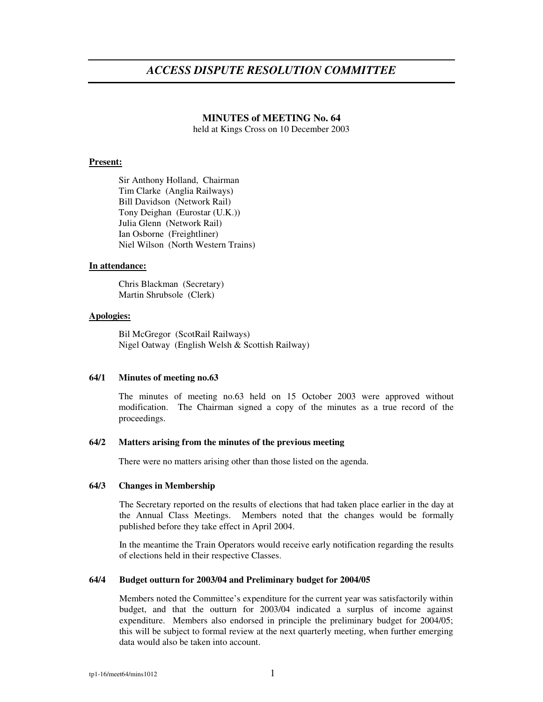# *ACCESS DISPUTE RESOLUTION COMMITTEE*

# **MINUTES of MEETING No. 64**

held at Kings Cross on 10 December 2003

# **Present:**

Sir Anthony Holland, Chairman Tim Clarke (Anglia Railways) Bill Davidson (Network Rail) Tony Deighan (Eurostar (U.K.)) Julia Glenn (Network Rail) Ian Osborne (Freightliner) Niel Wilson (North Western Trains)

## **In attendance:**

Chris Blackman (Secretary) Martin Shrubsole (Clerk)

# **Apologies:**

Bil McGregor (ScotRail Railways) Nigel Oatway (English Welsh & Scottish Railway)

## **64/1 Minutes of meeting no.63**

The minutes of meeting no.63 held on 15 October 2003 were approved without modification. The Chairman signed a copy of the minutes as a true record of the proceedings.

## **64/2 Matters arising from the minutes of the previous meeting**

There were no matters arising other than those listed on the agenda.

# **64/3 Changes in Membership**

The Secretary reported on the results of elections that had taken place earlier in the day at the Annual Class Meetings. Members noted that the changes would be formally published before they take effect in April 2004.

In the meantime the Train Operators would receive early notification regarding the results of elections held in their respective Classes.

# **64/4 Budget outturn for 2003/04 and Preliminary budget for 2004/05**

Members noted the Committee's expenditure for the current year was satisfactorily within budget, and that the outturn for 2003/04 indicated a surplus of income against expenditure. Members also endorsed in principle the preliminary budget for 2004/05; this will be subject to formal review at the next quarterly meeting, when further emerging data would also be taken into account.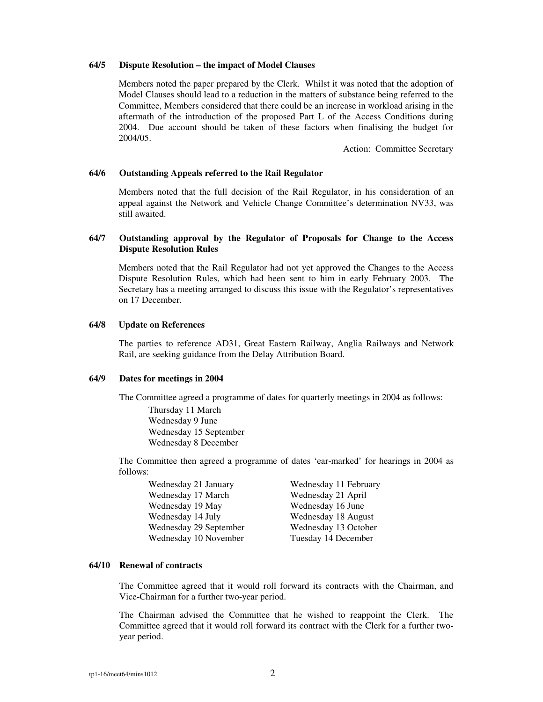# **64/5 Dispute Resolution – the impact of Model Clauses**

Members noted the paper prepared by the Clerk. Whilst it was noted that the adoption of Model Clauses should lead to a reduction in the matters of substance being referred to the Committee, Members considered that there could be an increase in workload arising in the aftermath of the introduction of the proposed Part L of the Access Conditions during 2004. Due account should be taken of these factors when finalising the budget for 2004/05.

Action: Committee Secretary

#### **64/6 Outstanding Appeals referred to the Rail Regulator**

Members noted that the full decision of the Rail Regulator, in his consideration of an appeal against the Network and Vehicle Change Committee's determination NV33, was still awaited.

# **64/7 Outstanding approval by the Regulator of Proposals for Change to the Access Dispute Resolution Rules**

Members noted that the Rail Regulator had not yet approved the Changes to the Access Dispute Resolution Rules, which had been sent to him in early February 2003. The Secretary has a meeting arranged to discuss this issue with the Regulator's representatives on 17 December.

#### **64/8 Update on References**

The parties to reference AD31, Great Eastern Railway, Anglia Railways and Network Rail, are seeking guidance from the Delay Attribution Board.

## **64/9 Dates for meetings in 2004**

The Committee agreed a programme of dates for quarterly meetings in 2004 as follows: Thursday 11 March Wednesday 9 June Wednesday 15 September Wednesday 8 December

The Committee then agreed a programme of dates 'ear-marked' for hearings in 2004 as follows:

| Wednesday 21 January   | Wednesday 11 February |
|------------------------|-----------------------|
| Wednesday 17 March     | Wednesday 21 April    |
| Wednesday 19 May       | Wednesday 16 June     |
| Wednesday 14 July      | Wednesday 18 August   |
| Wednesday 29 September | Wednesday 13 October  |
| Wednesday 10 November  | Tuesday 14 December   |

# **64/10 Renewal of contracts**

The Committee agreed that it would roll forward its contracts with the Chairman, and Vice-Chairman for a further two-year period.

The Chairman advised the Committee that he wished to reappoint the Clerk. The Committee agreed that it would roll forward its contract with the Clerk for a further twoyear period.